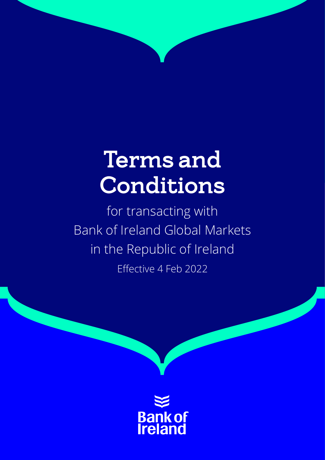# Terms and Conditions

for transacting with Bank of Ireland Global Markets in the Republic of Ireland Effective 4 Feb 2022

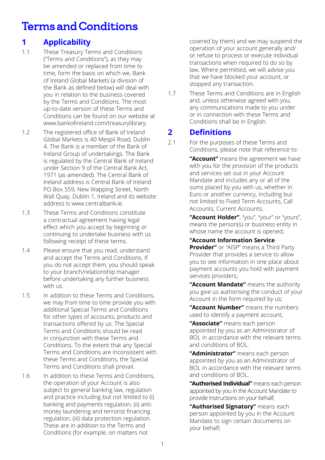## Terms and Conditions

## **1 Applicability**

- 1.1 These Treasury Terms and Conditions ("Terms and Conditions"), as they may be amended or replaced from time to time, form the basis on which we, Bank of Ireland Global Markets (a division of the Bank as defined below) will deal with you in relation to the business covered by the Terms and Conditions. The most up-to-date version of these Terms and Conditions can be found on our website at www.bankofireland.com/treasurylibrary.
- 1.2 The registered office of Bank of Ireland Global Markets is 40 Mespil Road, Dublin 4. The Bank is a member of the Bank of Ireland Group of undertakings. The Bank is regulated by the Central Bank of Ireland under Section 9 of the Central Bank Act, 1971 (as amended). The Central Bank of Ireland address is Central Bank of Ireland PO Box 559, New Wapping Street, North Wall Quay, Dublin 1, Ireland and its website address is www.centralbank.ie.
- 1.3 These Terms and Conditions constitute a contractual agreement having legal effect which you accept by beginning or continuing to undertake business with us following receipt of these terms.
- 1.4 Please ensure that you read, understand and accept the Terms and Conditions. If you do not accept them, you should speak to your branch/relationship manager before undertaking any further business with us.
- 1.5 In addition to these Terms and Conditions, we may from time to time provide you with additional Special Terms and Conditions for other types of accounts, products and transactions offered by us. The Special Terms and Conditions should be read in conjunction with these Terms and Conditions. To the extent that any Special Terms and Conditions are inconsistent with these Terms and Conditions, the Special Terms and Conditions shall prevail.
- 1.6 In addition to these Terms and Conditions, the operation of your Account is also subject to general banking law, regulation and practice including but not limited to (i) banking and payments regulation, (ii) antimoney laundering and terrorist financing regulation, (iii) data protection regulation. These are in addition to the Terms and Conditions (for example, on matters not

covered by them) and we may suspend the operation of your account generally and/ or refuse to process or execute individual transactions when required to do so by law. Where permitted, we will advise you that we have blocked your account, or stopped any transaction.

1.7 These Terms and Conditions are in English and, unless otherwise agreed with you, any communications made to you under or in connection with these Terms and Conditions shall be in English.

## **2 Definitions**

2.1 For the purposes of these Terms and Conditions, please note that reference to:

> **"Account"** means the agreement we have with you for the provision of the products and services set out in your Account Mandate and includes any or all of the sums placed by you with us, whether in Euro or another currency, including but not limited to Fixed Term Accounts, Call Accounts, Current Accounts;

> **"Account Holder"**, "you", "your" or "yours", means the person(s) or business entity in whose name the account is opened:

**"Account Information Service**

**Provider"** or "AISP" means a Third Party Provider that provides a service to allow you to see information in one place about payment accounts you hold with payment services providers;

**"Account Mandate"** means the authority you give us authorising the conduct of your Account in the form required by us;

**"Account Number"** means the numbers used to identify a payment account;

**"Associate"** means each person appointed by you as an Administrator of BOL in accordance with the relevant terms and conditions of BOL.

**"Administrator"** means each person appointed by you as an Administrator of BOL in accordance with the relevant terms and conditions of BOL.

**"Authorised Individual"** means each person appointed by you in the Account Mandate to provide Instructions on your behalf;

 **"Authorised Signatory"** means each person appointed by you in the Account Mandate to sign certain documents on your behalf;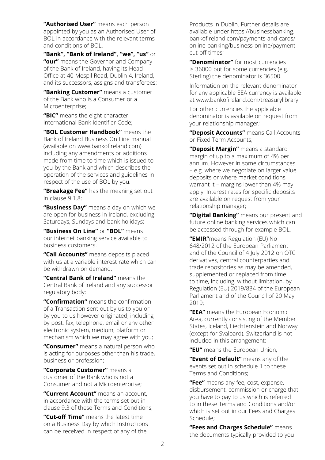**"Authorised User"** means each person appointed by you as an Authorised User of BOL in accordance with the relevant terms and conditions of BOL.

**"Bank", "Bank of Ireland", "we", "us"** or **"our"** means the Governor and Company of the Bank of Ireland, having its Head Office at 40 Mespil Road, Dublin 4, Ireland, and its successors, assigns and transferees;

**"Banking Customer"** means a customer of the Bank who is a Consumer or a Microenterprise:

**"BIC"** means the eight character international Bank Identifier Code;

**"BOL Customer Handbook"** means the Bank of Ireland Business On Line manual (available on www.bankofireland.com) including any amendments or additions made from time to time which is issued to you by the Bank and which describes the operation of the services and guidelines in respect of the use of BOL by you.

**"Breakage Fee"** has the meaning set out in clause 9.1.8;

**"Business Day"** means a day on which we are open for business in Ireland, excluding Saturdays, Sundays and bank holidays;

**"Business On Line"** or **"BOL"** means our internet banking service available to business customers.

**"Call Accounts"** means deposits placed with us at a variable interest rate which can be withdrawn on demand;

**"Central Bank of Ireland"** means the Central Bank of Ireland and any successor regulatory body;

**"Confirmation"** means the confirmation of a Transaction sent out by us to you or by you to us however originated, including by post, fax, telephone, email or any other electronic system, medium, platform or mechanism which we may agree with you;

**"Consumer"** means a natural person who is acting for purposes other than his trade, business or profession;

**"Corporate Customer"** means a customer of the Bank who is not a Consumer and not a Microenterprise;

**"Current Account"** means an account, in accordance with the terms set out in clause 9.3 of these Terms and Conditions;

**"Cut-off Time"** means the latest time on a Business Day by which Instructions can be received in respect of any of the

Products in Dublin. Further details are available under https://businessbanking. bankofireland.com/payments-and-cards/ [online-banking/business-online/payment](https://businessbanking.bankofireland.com/payments-and-cards/ online-banking/business-online/payment-cut-off-times)cut-off-times;

**"Denominator"** for most currencies is 36000 but for some currencies (e.g. Sterling) the denominator is 36500.

Information on the relevant denominator for any applicable EEA currency is available at www.bankofireland.com/treasurylibrary.

For other currencies the applicable denominator is available on request from your relationship manager;

**"Deposit Accounts"** means Call Accounts or Fixed Term Accounts;

**"Deposit Margin"** means a standard margin of up to a maximum of 4% per annum. However in some circumstances – e.g. where we negotiate on larger value deposits or where market conditions warrant it – margins lower than 4% may apply. Interest rates for specific deposits are available on request from your relationship manager;

**"Digital Banking"** means our present and future online banking services which can be accessed through for example BOL.

**"EMIR"**means Regulation (EU) No 648/2012 of the European Parliament and of the Council of 4 July 2012 on OTC derivatives, central counterparties and trade repositories as may be amended, supplemented or replaced from time to time, including, without limitation, by Regulation (EU) 2019/834 of the European Parliament and of the Council of 20 May 2019;

**"EEA"** means the European Economic Area, currently consisting of the Member States, Iceland, Liechtenstein and Norway (except for Svalbard). Switzerland is not included in this arrangement;

**"EU"** means the European Union;

**"Event of Default"** means any of the events set out in schedule 1 to these Terms and Conditions;

**"Fee"** means any fee, cost, expense, disbursement, commission or charge that you have to pay to us which is referred to in these Terms and Conditions and/or which is set out in our Fees and Charges Schedule;

**"Fees and Charges Schedule"** means the documents typically provided to you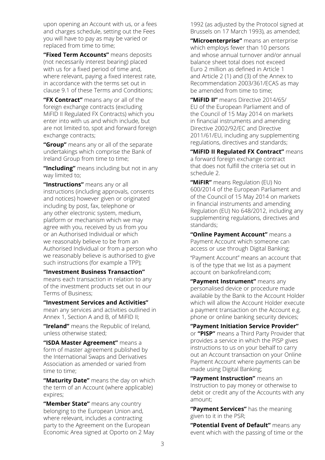upon opening an Account with us, or a fees and charges schedule, setting out the Fees you will have to pay as may be varied or replaced from time to time;

**"Fixed Term Accounts"** means deposits (not necessarily interest bearing) placed with us for a fixed period of time and, where relevant, paying a fixed interest rate, in accordance with the terms set out in clause 9.1 of these Terms and Conditions;

**"FX Contract"** means any or all of the foreign exchange contracts (excluding MiFID II Regulated FX Contracts) which you enter into with us and which include, but are not limited to, spot and forward foreign exchange contracts;

**"Group"** means any or all of the separate undertakings which comprise the Bank of Ireland Group from time to time;

**"Including"** means including but not in any way limited to;

**"Instructions"** means any or all instructions (including approvals, consents and notices) however given or originated including by post, fax, telephone or any other electronic system, medium, platform or mechanism which we may agree with you, received by us from you or an Authorised Individual or which we reasonably believe to be from an Authorised Individual or from a person who we reasonably believe is authorised to give such instructions (for example a TPP);

**"Investment Business Transaction"** means each transaction in relation to any of the investment products set out in our Terms of Business;

**"Investment Services and Activities"**

mean any services and activities outlined in Annex 1, Section A and B, of MiFID II;

**"Ireland"** means the Republic of Ireland, unless otherwise stated;

**"ISDA Master Agreement"** means a form of master agreement published by the International Swaps and Derivatives Association as amended or varied from time to time;

**"Maturity Date"** means the day on which the term of an Account (where applicable) expires;

**"Member State"** means any country belonging to the European Union and, where relevant, includes a contracting party to the Agreement on the European Economic Area signed at Oporto on 2 May

1992 (as adjusted by the Protocol signed at Brussels on 17 March 1993), as amended;

**"Microenterprise"** means an enterprise which employs fewer than 10 persons and whose annual turnover and/or annual balance sheet total does not exceed Euro 2 million as defined in Article 1 and Article 2 (1) and (3) of the Annex to Recommendation 2003/361/ECAS as may be amended from time to time;

**"MiFID II"** means Directive 2014/65/ EU of the European Parliament and of the Council of 15 May 2014 on markets in financial instruments and amending Directive 2002/92/EC and Directive 2011/61/EU, including any supplementing regulations, directives and standards;

**"MiFID II Regulated FX Contract"** means a forward foreign exchange contract that does not fulfill the criteria set out in schedule 2.

**"MiFIR"** means Regulation (EU) No 600/2014 of the European Parliament and of the Council of 15 May 2014 on markets in financial instruments and amending Regulation (EU) No 648/2012, including any supplementing regulations, directives and standards;

**"Online Payment Account"** means a Payment Account which someone can access or use through Digital Banking;

"Payment Account" means an account that is of the type that we list as a payment account on bankofireland.com:

**"Payment Instrument"** means any personalised device or procedure made available by the Bank to the Account Holder which will allow the Account Holder execute a payment transaction on the Account e.g. phone or online banking security devices;

**"Payment Initiation Service Provider"** or **"PISP"** means a Third Party Provider that provides a service in which the PISP gives instructions to us on your behalf to carry out an Account transaction on your Online Payment Account where payments can be made using Digital Banking;

**"Payment Instruction"** means an Instruction to pay money or otherwise to debit or credit any of the Accounts with any amount;

**"Payment Services"** has the meaning given to it in the PSR;

**"Potential Event of Default"** means any event which with the passing of time or the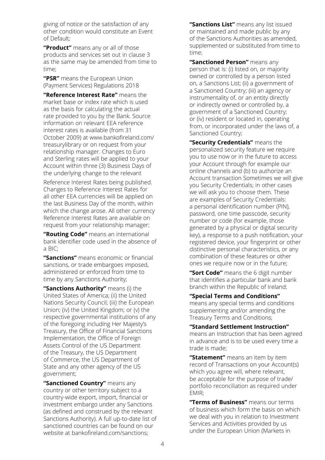giving of notice or the satisfaction of any other condition would constitute an Event of Default;

**"Product"** means any or all of those products and services set out in clause 3 as the same may be amended from time to time;

**"PSR"** means the European Union (Payment Services) Regulations 2018

**"Reference Interest Rate"** means the market base or index rate which is used as the basis for calculating the actual rate provided to you by the Bank. Source information on relevant EEA reference interest rates is available (from 31 [October 2009\) at www.bankofireland.com/](www.bankofireland.com/treasurylibrary)  treasurylibrary or on request from your relationship manager. Changes to Euro and Sterling rates will be applied to your Account within three (3) Business Days of the underlying change to the relevant

Reference Interest Rates being published. Changes to Reference Interest Rates for all other EEA currencies will be applied on the last Business Day of the month, within which the change arose. All other currency Reference Interest Rates are available on request from your relationship manager;

**"Routing Code"** means an international bank identifier code used in the absence of a BIC;

**"Sanctions"** means economic or financial sanctions, or trade embargoes imposed, administered or enforced from time to time by any Sanctions Authority;

**"Sanctions Authority"** means (i) the United States of America; (ii) the United Nations Security Council; (iii) the European Union; (iv) the United Kingdom; or (v) the respective governmental institutions of any of the foregoing including Her Majesty's Treasury, the Office of Financial Sanctions Implementation, the Office of Foreign Assets Control of the US Department of the Treasury, the US Department of Commerce, the US Department of State and any other agency of the US government;

**"Sanctioned Country"** means any country or other territory subject to a country-wide export, import, financial or investment embargo under any Sanctions (as defined and construed by the relevant Sanctions Authority). A full up-to-date list of sanctioned countries can be found on our website at bankofireland com/sanctions;

**"Sanctions List"** means any list issued or maintained and made public by any of the Sanctions Authorities as amended, supplemented or substituted from time to time;

**"Sanctioned Person"** means any person that is: (i) listed on, or majority owned or controlled by a person listed on, a Sanctions List; (ii) a government of a Sanctioned Country; (iii) an agency or instrumentality of, or an entity directly or indirectly owned or controlled by, a government of a Sanctioned Country; or (iv) resident or located in, operating from, or incorporated under the laws of, a Sanctioned Country;

**"Security Credentials"** means the personalized security feature we require you to use now or in the future to access your Account through for example our online channels and (b) to authorize an Account transaction Sometimes we will give you Security Credentials; in other cases we will ask you to choose them. These are examples of Security Credentials: a personal identification number (PIN), password, one time passcode, security number or code (for example, those generated by a physical or digital security key), a response to a push notification, your registered device, your fingerprint or other distinctive personal characteristics, or any combination of these features or other ones we require now or in the future;

**"Sort Code"** means the 6 digit number that identifies a particular bank and bank branch within the Republic of Ireland;

**"Special Terms and Conditions"**

means any special terms and conditions supplementing and/or amending the Treasury Terms and Conditions;

**"Standard Settlement Instruction"** means an Instruction that has been agreed in advance and is to be used every time a trade is made;

**"Statement"** means an item by item record of Transactions on your Account(s) which you agree will, where relevant, be acceptable for the purpose of trade/ portfolio reconciliation as required under EMIR;

**"Terms of Business"** means our terms of business which form the basis on which we deal with you in relation to Investment Services and Activities provided by us under the European Union (Markets in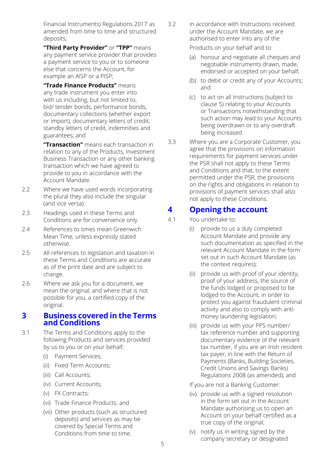Financial Instruments) Regulations 2017 as amended from time to time and structured deposits;

**"Third Party Provider"** or **"TPP"** means any payment service provider that provides a payment service to you or to someone else that concerns the Account, for example an AISP or a PISP;

**"Trade Finance Products"** means any trade instrument you enter into with us including, but not limited to, bid/ tender bonds, performance bonds, documentary collections (whether export or import), documentary letters of credit, standby letters of credit, indemnities and guarantees; and

**"Transaction"** means each transaction in relation to any of the Products, Investment Business Transaction or any other banking transaction which we have agreed to provide to you in accordance with the Account Mandate.

- 2.2 Where we have used words incorporating the plural they also include the singular (and vice versa).
- 2.3 Headings used in these Terms and Conditions are for convenience only.
- 2.4 References to times mean Greenwich Mean Time, unless expressly stated otherwise.
- 2.5 All references to legislation and taxation in these Terms and Conditions are accurate as of the print date and are subject to change.
- 2.6 Where we ask you for a document, we mean the original, and where that is not possible for you, a certified copy of the original.

#### **3 Business covered in the Terms and Conditions**

3.1 The Terms and Conditions apply to the following Products and services provided by us to you or on your behalf:

- (i) Payment Services;
- (ii) Fixed Term Accounts;
- (iii) Call Accounts;
- (iv) Current Accounts;
- (v) FX Contracts;
- (vi) Trade Finance Products; and
- (vii) Other products (such as structured deposits) and services as may be covered by Special Terms and Conditions from time to time.

3.2 In accordance with Instructions received under the Account Mandate, we are authorised to enter into any of the

Products on your behalf and to:

- (a) honour and negotiate all cheques and negotiable instruments drawn, made, endorsed or accepted on your behalf;
- (b) to debit or credit any of your Accounts; and
- (c) to act on all Instructions (subject to clause 5) relating to your Accounts or Transactions notwithstanding that such action may lead to your Accounts being overdrawn or to any overdraft being increased.
- 3.3 Where you are a Corporate Customer, you agree that the provisions on information requirements for payment services under the PSR shall not apply to these Terms and Conditions and that, to the extent permitted under the PSR, the provisions on the rights and obligations in relation to provisions of payment services shall also not apply to these Conditions.

## **4 Opening the account**

- 4.1 You undertake to:
	- (i) provide to us a duly completed Account Mandate and provide any such documentation as specified in the relevant Account Mandate in the form set out in such Account Mandate (as the context requires);
	- (ii) provide us with proof of your identity, proof of your address, the source of the funds lodged or proposed to be lodged to the Account, in order to protect you against fraudulent criminal activity and also to comply with antimoney laundering legislation;
	- (iii) provide us with your PPS number/ tax reference number and supporting documentary evidence of the relevant tax number, if you are an Irish resident tax payer, in line with the Return of Payments (Banks, Building Societies, Credit Unions and Savings Banks) Regulations 2008 (as amended); and

If you are not a Banking Customer:

- (iv) provide us with a signed resolution in the form set out in the Account Mandate authorising us to open an Account on your behalf certified as a true copy of the original;
- (v) notify us in writing signed by the company secretary or designated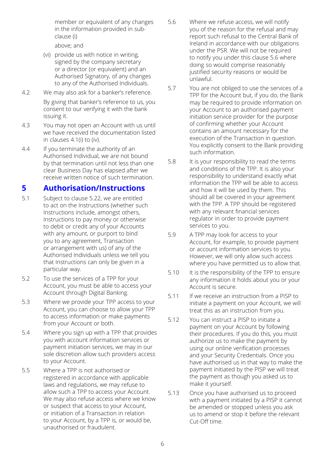member or equivalent of any changes in the information provided in subclause (i)

above; and

- (vi) provide us with notice in writing, signed by the company secretary or a director (or equivalent) and an Authorised Signatory, of any changes to any of the Authorised Individuals.
- 4.2 We may also ask for a banker's reference.

By giving that banker's reference to us, you consent to our verifying it with the bank issuing it.

- 4.3 You may not open an Account with us until we have received the documentation listed in clauses 4.1(i) to (iv).
- 4.4 If you terminate the authority of an Authorised Individual, we are not bound by that termination until not less than one clear Business Day has elapsed after we receive written notice of such termination.

## **5 Authorisation/Instructions**

- 5.1 Subject to clause 5.22, we are entitled to act on the Instructions (whether such Instructions include, amongst others, Instructions to pay money or otherwise to debit or credit any of your Accounts with any amount, or purport to bind you to any agreement, Transaction or arrangement with us) of any of the Authorised Individuals unless we tell you that Instructions can only be given in a particular way.
- 5.2 To use the services of a TPP for your Account, you must be able to access your Account through Digital Banking.
- 5.3 Where we provide your TPP access to your Account, you can choose to allow your TPP to access information or make payments from your Account or both.
- 5.4 Where you sign up with a TPP that provides you with account information services or payment initiation services, we may in our sole discretion allow such providers access to your Account.
- 5.5 Where a TPP is not authorised or registered in accordance with applicable laws and regulations, we may refuse to allow such a TPP to access your Account. We may also refuse access where we know or suspect that access to your Account, or initiation of a Transaction in relation to your Account, by a TPP is, or would be, unauthorised or fraudulent.
- 5.6 Where we refuse access, we will notify you of the reason for the refusal and may report such refusal to the Central Bank of Ireland in accordance with our obligations under the PSR. We will not be required to notify you under this clause 5.6 where doing so would comprise reasonably justified security reasons or would be unlawful.
- 5.7 You are not obliged to use the services of a TPP for the Account but, if you do, the Bank may be required to provide information on your Account to an authorised payment initiation service provider for the purpose of confirming whether your Account contains an amount necessary for the execution of the Transaction in question. You explicitly consent to the Bank providing such information.
- 5.8 It is your responsibility to read the terms and conditions of the TPP. It is also your responsibility to understand exactly what information the TPP will be able to access and how it will be used by them. This should all be covered in your agreement with the TPP. A TPP should be registered with any relevant financial services regulator in order to provide payment services to you.
- 5.9 A TPP may look for access to your Account, for example, to provide payment or account information services to you. However, we will only allow such access where you have permitted us to allow that.
- 5.10 It is the responsibility of the TPP to ensure any information it holds about you or your Account is secure.
- 5.11 If we receive an instruction from a PISP to initiate a payment on your Account, we will treat this as an instruction from you.
- 5.12 You can instruct a PISP to initiate a payment on your Account by following their procedures. If you do this, you must authorize us to make the payment by using our online verification processes and your Security Credentials. Once you have authorised us in that way to make the payment initiated by the PISP we will treat the payment as though you asked us to make it yourself.
- 5.13 Once you have authorised us to proceed with a payment initiated by a PISP it cannot be amended or stopped unless you ask us to amend or stop it before the relevant Cut-Off time.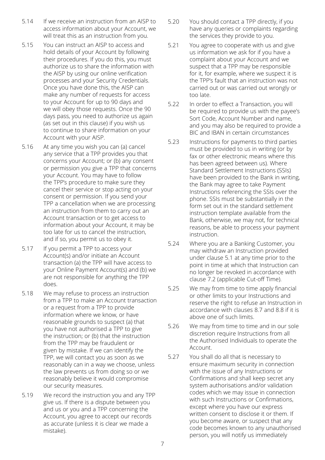- 5.14 If we receive an instruction from an AISP to access information about your Account, we will treat this as an instruction from you.
- 5.15 You can instruct an AISP to access and hold details of your Account by following their procedures. If you do this, you must authorize us to share the information with the AISP by using our online verification processes and your Security Credentials. Once you have done this, the AISP can make any number of requests for access to your Account for up to 90 days and we will obey those requests. Once the 90 days pass, you need to authorize us again (as set out in this clause) if you wish us to continue to share information on your Account with your AISP.
- 5.16 At any time you wish you can (a) cancel any service that a TPP provides you that concerns your Account; or (b) any consent or permission you give a TPP that concerns your Account. You may have to follow the TPP's procedure to make sure they cancel their service or stop acting on your consent or permission. If you send your TPP a cancellation when we are processing an instruction from them to carry out an Account transaction or to get access to information about your Account, it may be too late for us to cancel the instruction, and if so, you permit us to obey it.
- 5.17 If you permit a TPP to access your Account(s) and/or initiate an Account transaction (a) the TPP will have access to your Online Payment Account(s) and (b) we are not responsible for anything the TPP does.
- 5.18 We may refuse to process an instruction from a TPP to make an Account transaction or a request from a TPP to provide information where we know, or have reasonable grounds to suspect (a) that you have not authorised a TPP to give the instruction; or (b) that the instruction from the TPP may be fraudulent or given by mistake. If we can identify the TPP, we will contact you as soon as we reasonably can in a way we choose, unless the law prevents us from doing so or we reasonably believe it would compromise our security measures.
- 5.19 We record the instruction you and any TPP give us. If there is a dispute between you and us or you and a TPP concerning the Account, you agree to accept our records as accurate (unless it is clear we made a mistake).
- 5.20 You should contact a TPP directly, if you have any queries or complaints regarding the services they provide to you.
- 5.21 You agree to cooperate with us and give us information we ask for if you have a complaint about your Account and we suspect that a TPP may be responsible for it, for example, where we suspect it is the TPP's fault that an instruction was not carried out or was carried out wrongly or too late.
- 5.22 In order to effect a Transaction, you will be required to provide us with the payee's Sort Code, Account Number and name, and you may also be required to provide a BIC and IBAN in certain circumstances
- 5.23 Instructions for payments to third parties must be provided to us in writing (or by fax or other electronic means where this has been agreed between us). Where Standard Settlement Instructions (SSIs) have been provided to the Bank in writing, the Bank may agree to take Payment Instructions referencing the SSIs over the phone. SSIs must be substantially in the form set out in the standard settlement instruction template available from the Bank, otherwise, we may not, for technical reasons, be able to process your payment instruction.
- 5.24 Where you are a Banking Customer, you may withdraw an Instruction provided under clause 5.1 at any time prior to the point in time at which that Instruction can no longer be revoked in accordance with clause 7.2 (applicable Cut-off Time).
- 5.25 We may from time to time apply financial or other limits to your Instructions and reserve the right to refuse an Instruction in accordance with clauses 8.7 and 8.8 if it is above one of such limits.
- 5.26 We may from time to time and in our sole discretion require Instructions from all the Authorised Individuals to operate the Account.
- 5.27 You shall do all that is necessary to ensure maximum security in connection with the issue of any Instructions or Confirmations and shall keep secret any system authorisations and/or validation codes which we may issue in connection with such Instructions or Confirmations, except where you have our express written consent to disclose it or them. If you become aware, or suspect that any code becomes known to any unauthorised person, you will notify us immediately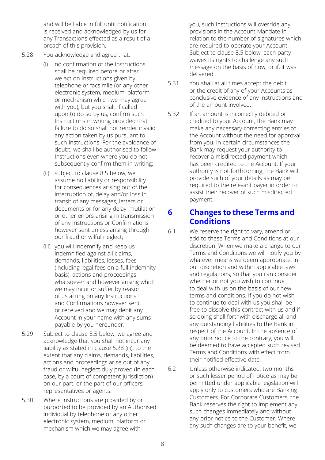and will be liable in full until notification is received and acknowledged by us for any Transactions effected as a result of a breach of this provision.

- 5.28 You acknowledge and agree that:
	- (i) no confirmation of the Instructions shall be required before or after we act on Instructions given by telephone or facsimile (or any other electronic system, medium, platform or mechanism which we may agree with you), but you shall, if called upon to do so by us, confirm such Instructions in writing provided that failure to do so shall not render invalid any action taken by us pursuant to such Instructions. For the avoidance of doubt, we shall be authorised to follow Instructions even where you do not subsequently confirm them in writing;
	- (ii) subject to clause 8.5 below, we assume no liability or responsibility for consequences arising out of the interruption of, delay and/or loss in transit of any messages, letters or documents or for any delay, mutilation or other errors arising in transmission of any Instructions or Confirmations however sent unless arising through our fraud or wilful neglect;
	- (iii) you will indemnify and keep us indemnified against all claims, demands, liabilities, losses, fees (including legal fees on a full indemnity basis), actions and proceedings whatsoever and however arising which we may incur or suffer by reason of us acting on any Instructions and Confirmations however sent or received and we may debit any Account in your name with any sums payable by you hereunder.
- 5.29 Subject to clause 8.5 below, we agree and acknowledge that you shall not incur any liability as stated in clause 5.28 (iii), to the extent that any claims, demands, liabilities, actions and proceedings arise out of any fraud or wilful neglect duly proved (in each case, by a court of competent jurisdiction) on our part, or the part of our officers, representatives or agents.
- 5.30 Where Instructions are provided by or purported to be provided by an Authorised Individual by telephone or any other electronic system, medium, platform or mechanism which we may agree with

you, such Instructions will override any provisions in the Account Mandate in relation to the number of signatures which are required to operate your Account. Subject to clause 8.5 below, each party waives its rights to challenge any such message on the basis of how, or if, it was delivered.

- 5.31 You shall at all times accept the debit or the credit of any of your Accounts as conclusive evidence of any Instructions and of the amount involved.
- 5.32 If an amount is incorrectly debited or credited to your Account, the Bank may make any necessary correcting entries to the Account without the need for approval from you. In certain circumstances the Bank may request your authority to recover a misdirected payment which has been credited to the Account. If your authority is not forthcoming, the Bank will provide such of your details as may be required to the relevant payer in order to assist their recover of such misdirected payment.

## **6 Changes to these Terms and Conditions**

- 6.1 We reserve the right to vary, amend or add to these Terms and Conditions at our discretion. When we make a change to our Terms and Conditions we will notify you by whatever means we deem appropriate, in our discretion and within applicable laws and regulations, so that you can consider whether or not you wish to continue to deal with us on the basis of our new terms and conditions. If you do not wish to continue to deal with us you shall be free to dissolve this contract with us and if so doing shall forthwith discharge all and any outstanding liabilities to the Bank in respect of the Account. In the absence of any prior notice to the contrary, you will be deemed to have accepted such revised Terms and Conditions with effect from their notified effective date.
- 6.2 Unless otherwise indicated, two months or such lesser period of notice as may be permitted under applicable legislation will apply only to customers who are Banking Customers. For Corporate Customers, the Bank reserves the right to implement any such changes immediately and without any prior notice to the Customer. Where any such changes are to your benefit, we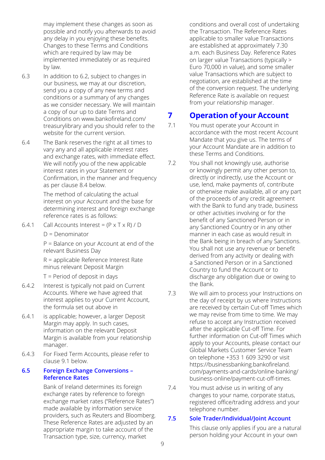may implement these changes as soon as possible and notify you afterwards to avoid any delay in you enjoying these benefits. Changes to these Terms and Conditions which are required by law may be implemented immediately or as required by law.

- 6.3 In addition to 6.2, subject to changes in our business, we may at our discretion, send you a copy of any new terms and conditions or a summary of any changes as we consider necessary. We will maintain a copy of our up to date Terms and Conditions on www.bankofireland.com/ [treasurylibrary and you should refer to th](www.bankofireland.com/treasurylibrary)e website for the current version.
- 6.4 The Bank reserves the right at all times to vary any and all applicable interest rates and exchange rates, with immediate effect. We will notify you of the new applicable interest rates in your Statement or Confirmation, in the manner and frequency as per clause 8.4 below.

The method of calculating the actual interest on your Account and the base for determining interest and foreign exchange reference rates is as follows:

6.4.1 Call Accounts Interest =  $(P \times T \times R) / D$ 

D = Denominator

P = Balance on your Account at end of the relevant Business Day

R = applicable Reference Interest Rate minus relevant Deposit Margin

T = Period of deposit in days

- 6.4.2 Interest is typically not paid on Current Accounts. Where we have agreed that interest applies to your Current Account, the formula set out above in
- 6.4.1 is applicable; however, a larger Deposit Margin may apply. In such cases, information on the relevant Deposit Margin is available from your relationship manager.
- 6.4.3 For Fixed Term Accounts, please refer to clause 9.1 below.

#### **6.5 Foreign Exchange Conversions – Reference Rates**

Bank of Ireland determines its foreign exchange rates by reference to foreign exchange market rates ("Reference Rates") made available by information service providers, such as Reuters and Bloomberg. These Reference Rates are adjusted by an appropriate margin to take account of the Transaction type, size, currency, market

conditions and overall cost of undertaking the Transaction. The Reference Rates applicable to smaller value Transactions are established at approximately 7.30 a.m. each Business Day. Reference Rates on larger value Transactions (typically > Euro 70,000 in value), and some smaller value Transactions which are subject to negotiation, are established at the time of the conversion request. The underlying Reference Rate is available on request from your relationship manager.

## **7 Operation of your Account**

- 7.1 You must operate your Account in accordance with the most recent Account Mandate that you give us. The terms of your Account Mandate are in addition to these Terms and Conditions.
- 7.2 You shall not knowingly use, authorise or knowingly permit any other person to, directly or indirectly, use the Account or use, lend, make payments of, contribute or otherwise make available, all or any part of the proceeds of any credit agreement with the Bank to fund any trade, business or other activities involving or for the benefit of any Sanctioned Person or in any Sanctioned Country or in any other manner in each case as would result in the Bank being in breach of any Sanctions. You shall not use any revenue or benefit derived from any activity or dealing with a Sanctioned Person or in a Sanctioned Country to fund the Account or to discharge any obligation due or owing to the Bank.
- 7.3 We will aim to process your Instructions on the day of receipt by us where Instructions are received by certain Cut-off Times which we may revise from time to time. We may refuse to accept any Instruction received after the applicable Cut-off Time. For further information on Cut-off Times which apply to your Accounts, please contact our Global Markets Customer Service Team on telephone +353 1 609 3290 or visit https://businessbanking.bankofireland. [com/payments-and-cards/online-banking/](https://businessbanking.bankofireland. com/payments-and-cards/online-banking/business-online/payment-cut-off-times)  business-online/payment-cut-off-times.
- 7.4 You must advise us in writing of any changes to your name, corporate status, registered office/trading address and your telephone number.

#### **7.5 Sole Trader/Individual/Joint Account**

This clause only applies if you are a natural person holding your Account in your own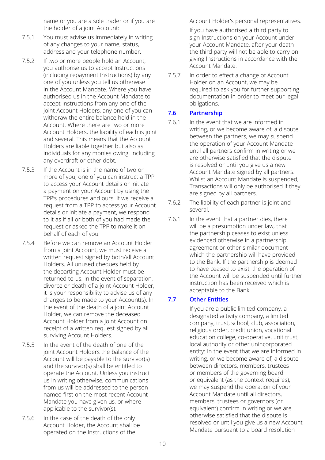name or you are a sole trader or if you are the holder of a joint Account:

- 7.5.1 You must advise us immediately in writing of any changes to your name, status, address and your telephone number.
- 7.5.2 If two or more people hold an Account, you authorise us to accept Instructions (including repayment Instructions) by any one of you unless you tell us otherwise in the Account Mandate. Where you have authorised us in the Account Mandate to accept Instructions from any one of the joint Account Holders, any one of you can withdraw the entire balance held in the Account. Where there are two or more Account Holders, the liability of each is joint and several. This means that the Account Holders are liable together but also as individuals for any monies owing, including any overdraft or other debt.
- 7.5.3 If the Account is in the name of two or more of you, one of you can instruct a TPP to access your Account details or initiate a payment on your Account by using the TPP's procedures and ours. If we receive a request from a TPP to access your Account details or initiate a payment, we respond to it as if all or both of you had made the request or asked the TPP to make it on behalf of each of you.
- 7.5.4 Before we can remove an Account Holder from a joint Account, we must receive a written request signed by both/all Account Holders. All unused cheques held by the departing Account Holder must be returned to us. In the event of separation, divorce or death of a joint Account Holder, it is your responsibility to advise us of any changes to be made to your Account(s). In the event of the death of a joint Account Holder, we can remove the deceased Account Holder from a joint Account on receipt of a written request signed by all surviving Account Holders.
- 7.5.5 In the event of the death of one of the joint Account Holders the balance of the Account will be payable to the survivor(s) and the survivor(s) shall be entitled to operate the Account. Unless you instruct us in writing otherwise, communications from us will be addressed to the person named first on the most recent Account Mandate you have given us, or where applicable to the survivor(s).
- 7.5.6 In the case of the death of the only Account Holder, the Account shall be operated on the Instructions of the

Account Holder's personal representatives.

If you have authorised a third party to sign Instructions on your Account under your Account Mandate, after your death the third party will not be able to carry on giving Instructions in accordance with the Account Mandate.

7.5.7 In order to effect a change of Account Holder on an Account, we may be required to ask you for further supporting documentation in order to meet our legal obligations.

#### **7.6 Partnership**

- 7.6.1 In the event that we are informed in writing, or we become aware of, a dispute between the partners, we may suspend the operation of your Account Mandate until all partners confirm in writing or we are otherwise satisfied that the dispute is resolved or until you give us a new Account Mandate signed by all partners. Whilst an Account Mandate is suspended, Transactions will only be authorised if they are signed by all partners.
- 7.6.2 The liability of each partner is joint and several.
- 7.6.1 In the event that a partner dies, there will be a presumption under law, that the partnership ceases to exist unless evidenced otherwise in a partnership agreement or other similar document which the partnership will have provided to the Bank. If the partnership is deemed to have ceased to exist, the operation of the Account will be suspended until further instruction has been received which is acceptable to the Bank.

#### **7.7 Other Entities**

If you are a public limited company, a designated activity company, a limited company, trust, school, club, association, religious order, credit union, vocational education college, co-operative, unit trust, local authority or other unincorporated entity: In the event that we are informed in writing, or we become aware of, a dispute between directors, members, trustees or members of the governing board or equivalent (as the context requires), we may suspend the operation of your Account Mandate until all directors, members, trustees or governors (or equivalent) confirm in writing or we are otherwise satisfied that the dispute is resolved or until you give us a new Account Mandate pursuant to a board resolution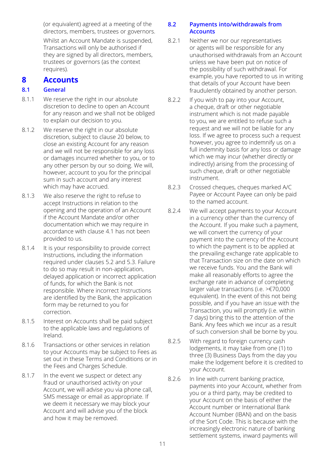(or equivalent) agreed at a meeting of the directors, members, trustees or governors.

Whilst an Account Mandate is suspended, Transactions will only be authorised if they are signed by all directors, members, trustees or governors (as the context requires).

## **8 Accounts**

#### **8.1 General**

- 8.1.1 We reserve the right in our absolute discretion to decline to open an Account for any reason and we shall not be obliged to explain our decision to you.
- 8.1.2 We reserve the right in our absolute discretion, subject to clause 20 below, to close an existing Account for any reason and we will not be responsible for any loss or damages incurred whether to you, or to any other person by our so doing. We will, however, account to you for the principal sum in such account and any interest which may have accrued.
- 8.1.3 We also reserve the right to refuse to accept Instructions in relation to the opening and the operation of an Account if the Account Mandate and/or other documentation which we may require in accordance with clause 4.1 has not been provided to us.
- 8.1.4 It is your responsibility to provide correct Instructions, including the information required under clauses 5.2 and 5.3. Failure to do so may result in non-application, delayed application or incorrect application of funds, for which the Bank is not responsible. Where incorrect Instructions are identified by the Bank, the application form may be returned to you for correction.
- 8.1.5 Interest on Accounts shall be paid subject to the applicable laws and regulations of Ireland.
- 8.1.6 Transactions or other services in relation to your Accounts may be subject to Fees as set out in these Terms and Conditions or in the Fees and Charges Schedule.
- 8.1.7 In the event we suspect or detect any fraud or unauthorised activity on your Account, we will advise you via phone call, SMS message or email as appropriate. If we deem it necessary we may block your Account and will advise you of the block and how it may be removed.

#### **8.2 Payments into/withdrawals from Accounts**

- 8.2.1 Neither we nor our representatives or agents will be responsible for any unauthorised withdrawals from an Account unless we have been put on notice of the possibility of such withdrawal. For example, you have reported to us in writing that details of your Account have been fraudulently obtained by another person.
- 8.2.2 If you wish to pay into your Account, a cheque, draft or other negotiable instrument which is not made payable to you, we are entitled to refuse such a request and we will not be liable for any loss. If we agree to process such a request however, you agree to indemnify us on a full indemnity basis for any loss or damage which we may incur (whether directly or indirectly) arising from the processing of such cheque, draft or other negotiable instrument.
- 8.2.3 Crossed cheques, cheques marked A/C Payee or Account Payee can only be paid to the named account.
- 8.2.4 We will accept payments to your Account in a currency other than the currency of the Account. If you make such a payment, we will convert the currency of your payment into the currency of the Account to which the payment is to be applied at the prevailing exchange rate applicable to that Transaction size on the date on which we receive funds. You and the Bank will make all reasonably efforts to agree the exchange rate in advance of completing larger value transactions (i.e. >€70,000 equivalent). In the event of this not being possible, and if you have an issue with the Transaction, you will promptly (i.e. within 7 days) bring this to the attention of the Bank. Any fees which we incur as a result of such conversion shall be borne by you.
- 8.2.5 With regard to foreign currency cash lodgements, it may take from one (1) to three (3) Business Days from the day you make the lodgement before it is credited to your Account.
- 8.2.6 In line with current banking practice, payments into your Account, whether from you or a third party, may be credited to your Account on the basis of either the Account number or International Bank Account Number (IBAN) and on the basis of the Sort Code. This is because with the increasingly electronic nature of banking settlement systems, inward payments will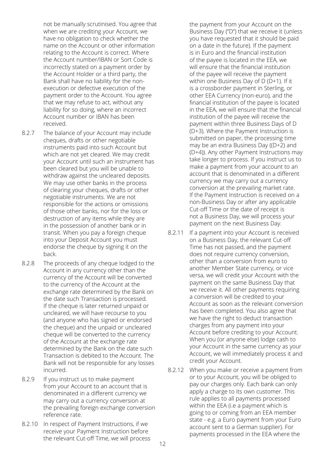not be manually scrutinised. You agree that when we are crediting your Account, we have no obligation to check whether the name on the Account or other information relating to the Account is correct. Where the Account number/IBAN or Sort Code is incorrectly stated on a payment order by the Account Holder or a third party, the Bank shall have no liability for the nonexecution or defective execution of the payment order to the Account. You agree that we may refuse to act, without any liability for so doing, where an incorrect Account number or IBAN has been received.

- 8.2.7 The balance of your Account may include cheques, drafts or other negotiable instruments paid into such Account but which are not yet cleared. We may credit your Account until such an instrument has been cleared but you will be unable to withdraw against the uncleared deposits. We may use other banks in the process of clearing your cheques, drafts or other negotiable instruments. We are not responsible for the actions or omissions of those other banks, nor for the loss or destruction of any items while they are in the possession of another bank or in transit. When you pay a foreign cheque into your Deposit Account you must endorse the cheque by signing it on the back.
- 8.2.8 The proceeds of any cheque lodged to the Account in any currency other than the currency of the Account will be converted to the currency of the Account at the exchange rate determined by the Bank on the date such Transaction is processed. If the cheque is later returned unpaid or uncleared, we will have recourse to you (and anyone who has signed or endorsed the cheque) and the unpaid or uncleared cheque will be converted to the currency of the Account at the exchange rate determined by the Bank on the date such Transaction is debited to the Account. The Bank will not be responsible for any losses incurred.
- 8.2.9 If you instruct us to make payment from your Account to an account that is denominated in a different currency we may carry out a currency conversion at the prevailing foreign exchange conversion reference rate.
- 8.2.10 In respect of Payment Instructions, if we receive your Payment Instruction before the relevant Cut-off Time, we will process

the payment from your Account on the Business Day ("D") that we receive it (unless you have requested that it should be paid on a date in the future). If the payment is in Euro and the financial institution of the payee is located in the EEA, we will ensure that the financial institution of the payee will receive the payment within one Business Day of D (D+1). If it is a crossborder payment in Sterling, or other EEA Currency (non-euro), and the financial institution of the payee is located in the EEA, we will ensure that the financial institution of the payee will receive the payment within three Business Days of D (D+3). Where the Payment Instruction is submitted on paper, the processing time may be an extra Business Day ((D+2) and (D+4)). Any other Payment Instructions may take longer to process. If you instruct us to make a payment from your account to an account that is denominated in a different currency we may carry out a currency conversion at the prevailing market rate. If the Payment Instruction is received on a non-Business Day or after any applicable Cut-off Time or the date of receipt is not a Business Day, we will process your payment on the next Business Day.

- 8.2.11 If a payment into your Account is received on a Business Day, the relevant Cut-off Time has not passed, and the payment does not require currency conversion, other than a conversion from euro to another Member State currency, or vice versa, we will credit your Account with the payment on the same Business Day that we receive it. All other payments requiring a conversion will be credited to your Account as soon as the relevant conversion has been completed. You also agree that we have the right to deduct transaction charges from any payment into your Account before crediting to your Account. When you (or anyone else) lodge cash to your Account in the same currency as your Account, we will immediately process it and credit your Account.
- 8.2.12 When you make or receive a payment from or to your Account, you will be obliged to pay our charges only. Each bank can only apply a charge to its own customer. This rule applies to all payments processed within the EEA (i.e a payment which is going to or coming from an EEA member state - e.g. a Euro payment from your Euro account sent to a German supplier). For payments processed in the EEA where the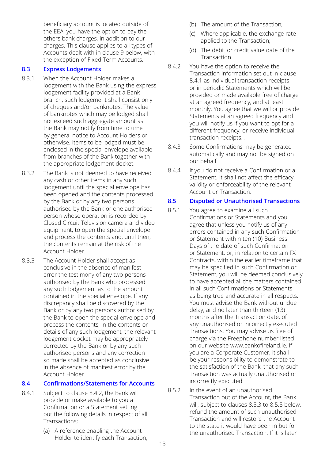beneficiary account is located outside of the EEA, you have the option to pay the others bank charges, in addition to our charges. This clause applies to all types of Accounts dealt with in clause 9 below, with the exception of Fixed Term Accounts.

#### **8.3 Express Lodgements**

- 8.3.1 When the Account Holder makes a lodgement with the Bank using the express lodgement facility provided at a Bank branch, such lodgement shall consist only of cheques and/or banknotes. The value of banknotes which may be lodged shall not exceed such aggregate amount as the Bank may notify from time to time by general notice to Account Holders or otherwise. Items to be lodged must be enclosed in the special envelope available from branches of the Bank together with the appropriate lodgement docket.
- 8.3.2 The Bank is not deemed to have received any cash or other items in any such lodgement until the special envelope has been opened and the contents processed by the Bank or by any two persons authorised by the Bank or one authorised person whose operation is recorded by Closed Circuit Television camera and video equipment, to open the special envelope and process the contents and, until then, the contents remain at the risk of the Account Holder.
- 8.3.3.3 The Account Holder shall accept as conclusive in the absence of manifest error the testimony of any two persons authorised by the Bank who processed any such lodgement as to the amount contained in the special envelope. If any discrepancy shall be discovered by the Bank or by any two persons authorised by the Bank to open the special envelope and process the contents, in the contents or details of any such lodgement, the relevant lodgement docket may be appropriately corrected by the Bank or by any such authorised persons and any correction so made shall be accepted as conclusive in the absence of manifest error by the Account Holder.

#### **8.4 Confirmations/Statements for Accounts**

- 8.4.1 Subject to clause 8.4.2, the Bank will provide or make available to you a Confirmation or a Statement setting out the following details in respect of all Transactions;
	- (a) A reference enabling the Account Holder to identify each Transaction;
- (b) The amount of the Transaction;
- (c) Where applicable, the exchange rate applied to the Transaction;
- (d) The debit or credit value date of the Transaction
- 8.4.2 You have the option to receive the Transaction information set out in clause 8.4.1 as individual transaction receipts or in periodic Statements which will be provided or made available free of charge at an agreed frequency, and at least monthly. You agree that we will or provide Statements at an agreed frequency and you will notify us if you want to opt for a different frequency, or receive individual transaction receipts. .
- 8.4.3 Some Confirmations may be generated automatically and may not be signed on our behalf.
- 8.4.4 If you do not receive a Confirmation or a Statement, it shall not affect the efficacy, validity or enforceability of the relevant Account or Transaction.

#### **8.5 Disputed or Unauthorised Transactions**

- 8.5.1 You agree to examine all such Confirmations or Statements and you agree that unless you notify us of any errors contained in any such Confirmation or Statement within ten (10) Business Days of the date of such Confirmation or Statement, or, in relation to certain FX Contracts, within the earlier timeframe that may be specified in such Confirmation or Statement, you will be deemed conclusively to have accepted all the matters contained in all such Confirmations or Statements as being true and accurate in all respects. You must advise the Bank without undue delay, and no later than thirteen (13) months after the Transaction date, of any unauthorised or incorrectly executed Transactions. You may advise us free of charge via the Freephone number listed on our website www.bankofireland.ie. If you are a Corporate Customer, it shall be your responsibility to demonstrate to the satisfaction of the Bank, that any such Transaction was actually unauthorised or incorrectly executed.
- 8.5.2 In the event of an unauthorised Transaction out of the Account, the Bank will, subject to clauses 8.5.3 to 8.5.5 below, refund the amount of such unauthorised Transaction and will restore the Account to the state it would have been in but for the unauthorised Transaction. If it is later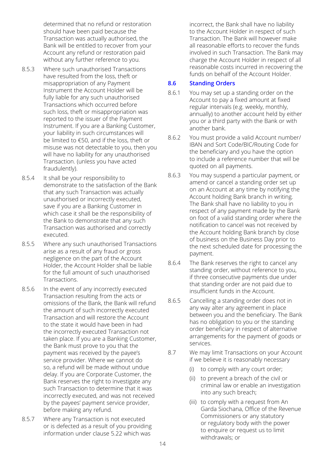determined that no refund or restoration should have been paid because the Transaction was actually authorised, the Bank will be entitled to recover from your Account any refund or restoration paid without any further reference to you.

- 8.5.3 Where such unauthorised Transactions have resulted from the loss, theft or misappropriation of any Payment Instrument the Account Holder will be fully liable for any such unauthorised Transactions which occurred before such loss, theft or misappropriation was reported to the issuer of the Payment Instrument. If you are a Banking Customer, your liability in such circumstances will be limited to €50, and if the loss, theft or misuse was not detectable to you, then you will have no liability for any unauthorised Transaction. (unless you have acted fraudulently).
- 8.5.4 It shall be your responsibility to demonstrate to the satisfaction of the Bank that any such Transaction was actually unauthorised or incorrectly executed, save if you are a Banking Customer in which case it shall be the responsibility of the Bank to demonstrate that any such Transaction was authorised and correctly executed.
- 8.5.5 Where any such unauthorised Transactions arise as a result of any fraud or gross negligence on the part of the Account Holder, the Account Holder shall be liable for the full amount of such unauthorised **Transactions**
- 8.5.6 In the event of any incorrectly executed Transaction resulting from the acts or omissions of the Bank, the Bank will refund the amount of such incorrectly executed Transaction and will restore the Account to the state it would have been in had the incorrectly executed Transaction not taken place. If you are a Banking Customer, the Bank must prove to you that the payment was received by the payee's service provider. Where we cannot do so, a refund will be made without undue delay. If you are Corporate Customer, the Bank reserves the right to investigate any such Transaction to determine that it was incorrectly executed, and was not received by the payees' payment service provider, before making any refund.
- 8.5.7 Where any Transaction is not executed or is defected as a result of you providing information under clause 5.22 which was

incorrect, the Bank shall have no liability to the Account Holder in respect of such Transaction. The Bank will however make all reasonable efforts to recover the funds involved in such Transaction. The Bank may charge the Account Holder in respect of all reasonable costs incurred in recovering the funds on behalf of the Account Holder.

#### **8.6 Standing Orders**

- 8.6.1 You may set up a standing order on the Account to pay a fixed amount at fixed regular intervals (e.g. weekly, monthly, annually) to another account held by either you or a third party with the Bank or with another bank.
- 8.6.2 You must provide a valid Account number/ IBAN and Sort Code/BIC/Routing Code for the beneficiary and you have the option to include a reference number that will be quoted on all payments.
- 8.6.3 You may suspend a particular payment, or amend or cancel a standing order set up on an Account at any time by notifying the Account holding Bank branch in writing. The Bank shall have no liability to you in respect of any payment made by the Bank on foot of a valid standing order where the notification to cancel was not received by the Account holding Bank branch by close of business on the Business Day prior to the next scheduled date for processing the payment.
- 8.6.4 The Bank reserves the right to cancel any standing order, without reference to you, if three consecutive payments due under that standing order are not paid due to insufficient funds in the Account.
- 8.6.5 Cancelling a standing order does not in any way alter any agreement in place between you and the beneficiary. The Bank has no obligation to you or the standing order beneficiary in respect of alternative arrangements for the payment of goods or services.
- 8.7 We may limit Transactions on your Account if we believe it is reasonably necessary
	- (i) to comply with any court order;
	- (ii) to prevent a breach of the civil or criminal law or enable an investigation into any such breach;
	- (iii) to comply with a request from An Garda Siochana, Office of the Revenue Commissioners or any statutory or regulatory body with the power to enquire or request us to limit withdrawals; or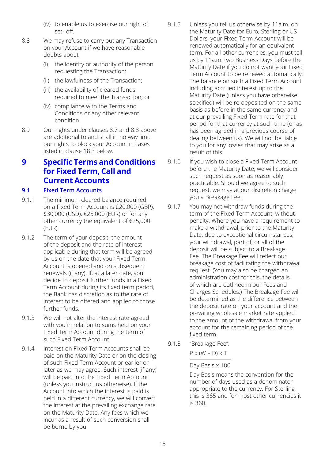- (iv) to enable us to exercise our right of set- off.
- 8.8 We may refuse to carry out any Transaction on your Account if we have reasonable doubts about
	- (i) the identity or authority of the person requesting the Transaction;
	- (ii) the lawfulness of the Transaction;
	- (iii) the availability of cleared funds required to meet the Transaction; or
	- (iv) compliance with the Terms and Conditions or any other relevant condition.
- 8.9 Our rights under clauses 8.7 and 8.8 above are additional to and shall in no way limit our rights to block your Account in cases listed in clause 18.3 below.

## **9 Specific Terms and Conditions for Fixed Term, Call and Current Accounts**

#### **9.1 Fixed Term Accounts**

- 9.1.1 The minimum cleared balance required on a Fixed Term Account is £20,000 (GBP), \$30,000 (USD), €25,000 (EUR) or for any other currency the equivalent of €25,000 (EUR).
- 9.1.2 The term of your deposit, the amount of the deposit and the rate of interest applicable during that term will be agreed by us on the date that your Fixed Term Account is opened and on subsequent renewals (if any). If, at a later date, you decide to deposit further funds in a Fixed Term Account during its fixed term period, the Bank has discretion as to the rate of interest to be offered and applied to those further funds.
- 9.1.3 We will not alter the interest rate agreed with you in relation to sums held on your Fixed Term Account during the term of such Fixed Term Account.
- 9.1.4 Interest on Fixed Term Accounts shall be paid on the Maturity Date or on the closing of such Fixed Term Account or earlier or later as we may agree. Such interest (if any) will be paid into the Fixed Term Account (unless you instruct us otherwise). If the Account into which the interest is paid is held in a different currency, we will convert the interest at the prevailing exchange rate on the Maturity Date. Any fees which we incur as a result of such conversion shall be borne by you.
- 9.1.5 Unless you tell us otherwise by 11a.m. on the Maturity Date for Euro, Sterling or US Dollars, your Fixed Term Account will be renewed automatically for an equivalent term. For all other currencies, you must tell us by 11a.m. two Business Days before the Maturity Date if you do not want your Fixed Term Account to be renewed automatically. The balance on such a Fixed Term Account including accrued interest up to the Maturity Date (unless you have otherwise specified) will be re-deposited on the same basis as before in the same currency and at our prevailing Fixed Term rate for that period for that currency at such time (or as has been agreed in a previous course of dealing between us). We will not be liable to you for any losses that may arise as a result of this.
- 9.1.6 If you wish to close a Fixed Term Account before the Maturity Date, we will consider such request as soon as reasonably practicable. Should we agree to such request, we may at our discretion charge you a Breakage Fee.
- 9.1.7 You may not withdraw funds during the term of the Fixed Term Account, without penalty. Where you have a requirement to make a withdrawal, prior to the Maturity Date, due to exceptional circumstances, your withdrawal, part of, or all of the deposit will be subject to a Breakage Fee. The Breakage Fee will reflect our breakage cost of facilitating the withdrawal request. (You may also be charged an administration cost for this, the details of which are outlined in our Fees and Charges Schedules.) The Breakage Fee will be determined as the difference between the deposit rate on your account and the prevailing wholesale market rate applied to the amount of the withdrawal from your account for the remaining period of the fixed term.
- 9.1.8 "Breakage Fee":

 $P \times (W - D) \times T$ 

Day Basis x 100

Day Basis means the convention for the number of days used as a denominator appropriate to the currency. For Sterling, this is 365 and for most other currencies it is 360.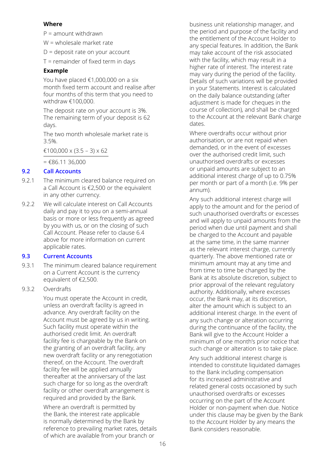#### **Where**

P = amount withdrawn

W = wholesale market rate

D = deposit rate on your account

T = remainder of fixed term in days

#### **Example**

You have placed €1,000,000 on a six month fixed term account and realise after four months of this term that you need to withdraw €100,000.

The deposit rate on your account is 3%. The remaining term of your deposit is 62 days.

The two month wholesale market rate is 3.5%.

€100,000 x (3.5 – 3) x 62

 $=$   $£86.11.36,000$ 

#### **9.2 Call Accounts**

- 9.2.1 The minimum cleared balance required on a Call Account is €2,500 or the equivalent in any other currency.
- 9.2.2 We will calculate interest on Call Accounts daily and pay it to you on a semi-annual basis or more or less frequently as agreed by you with us, or on the closing of such Call Account. Please refer to clause 6.4 above for more information on current applicable rates.

#### **9.3 Current Accounts**

- 9.3.1 The minimum cleared balance requirement on a Current Account is the currency equivalent of €2,500.
- 9.3.2 Overdrafts

You must operate the Account in credit, unless an overdraft facility is agreed in advance. Any overdraft facility on the Account must be agreed by us in writing. Such facility must operate within the authorised credit limit. An overdraft facility fee is chargeable by the Bank on the granting of an overdraft facility, any new overdraft facility or any renegotiation thereof, on the Account. The overdraft facility fee will be applied annually thereafter at the anniversary of the last such charge for so long as the overdraft facility or other overdraft arrangement is required and provided by the Bank.

Where an overdraft is permitted by the Bank, the interest rate applicable is normally determined by the Bank by reference to prevailing market rates, details of which are available from your branch or

business unit relationship manager, and the period and purpose of the facility and the entitlement of the Account Holder to any special features. In addition, the Bank may take account of the risk associated with the facility, which may result in a higher rate of interest. The interest rate may vary during the period of the facility. Details of such variations will be provided in your Statements. Interest is calculated on the daily balance outstanding (after adjustment is made for cheques in the course of collection), and shall be charged to the Account at the relevant Bank charge dates.

Where overdrafts occur without prior authorisation, or are not repaid when demanded, or in the event of excesses over the authorised credit limit, such unauthorised overdrafts or excesses or unpaid amounts are subject to an additional interest charge of up to 0.75% per month or part of a month (i.e. 9% per annum).

Any such additional interest charge will apply to the amount and for the period of such unauthorised overdrafts or excesses and will apply to unpaid amounts from the period when due until payment and shall be charged to the Account and payable at the same time, in the same manner as the relevant interest charge, currently quarterly. The above mentioned rate or minimum amount may at any time and from time to time be changed by the Bank at its absolute discretion, subject to prior approval of the relevant regulatory authority. Additionally, where excesses occur, the Bank may, at its discretion, alter the amount which is subject to an additional interest charge. In the event of any such change or alteration occurring during the continuance of the facility, the Bank will give to the Account Holder a minimum of one month's prior notice that such change or alteration is to take place.

Any such additional interest charge is intended to constitute liquidated damages to the Bank including compensation for its increased administrative and related general costs occasioned by such unauthorised overdrafts or excesses occurring on the part of the Account Holder or non-payment when due. Notice under this clause may be given by the Bank to the Account Holder by any means the Bank considers reasonable.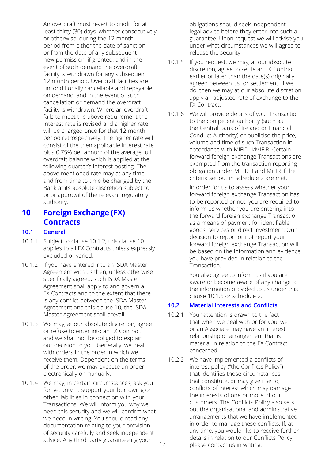An overdraft must revert to credit for at least thirty (30) days, whether consecutively or otherwise, during the 12 month period from either the date of sanction or from the date of any subsequent new permission, if granted, and in the event of such demand the overdraft facility is withdrawn for any subsequent 12 month period. Overdraft facilities are unconditionally cancellable and repayable on demand, and in the event of such cancellation or demand the overdraft facility is withdrawn. Where an overdraft fails to meet the above requirement the interest rate is revised and a higher rate will be charged once for that 12 month period retrospectively. The higher rate will consist of the then applicable interest rate plus 0.75% per annum of the average full overdraft balance which is applied at the following quarter's interest posting. The above mentioned rate may at any time and from time to time be changed by the Bank at its absolute discretion subject to prior approval of the relevant regulatory authority.

## **10 Foreign Exchange (FX) Contracts**

#### **10.1 General**

- 10.1.1 Subject to clause 10.1.2, this clause 10 applies to all FX Contracts unless expressly excluded or varied.
- 10.1.2 If you have entered into an ISDA Master Agreement with us then, unless otherwise specifically agreed, such ISDA Master Agreement shall apply to and govern all FX Contracts and to the extent that there is any conflict between the ISDA Master Agreement and this clause 10, the ISDA Master Agreement shall prevail.
- 10.1.3 We may, at our absolute discretion, agree or refuse to enter into an FX Contract and we shall not be obliged to explain our decision to you. Generally, we deal with orders in the order in which we receive them. Dependent on the terms of the order, we may execute an order electronically or manually.
- 10.1.4 We may, in certain circumstances, ask you for security to support your borrowing or other liabilities in connection with your Transactions. We will inform you why we need this security and we will confirm what we need in writing. You should read any documentation relating to your provision of security carefully and seek independent advice. Any third party guaranteeing your

obIigations should seek independent legal advice before they enter into such a guarantee. Upon request we will advise you under what circumstances we will agree to release the security.

- 10.1.5 If you request, we may, at our absolute discretion, agree to settle an FX Contract earlier or later than the date(s) originally agreed between us for settlement. If we do, then we may at our absolute discretion apply an adjusted rate of exchange to the FX Contract.
- 10.1.6 We will provide details of your Transaction to the competent authority (such as the Central Bank of Ireland or Financial Conduct Authority) or publicise the price, volume and time of such Transaction in accordance with MiFID II/MiFIR. Certain forward foreign exchange Transactions are exempted from the transaction reporting obligation under MiFID II and MiFIR if the criteria set out in schedule 2 are met.

In order for us to assess whether your forward foreign exchange Transaction has to be reported or not, you are required to inform us whether you are entering into the forward foreign exchange Transaction as a means of payment for identifiable goods, services or direct investment. Our decision to report or not report your forward foreign exchange Transaction will be based on the information and evidence you have provided in relation to the Transaction.

You also agree to inform us if you are aware or become aware of any change to the information provided to us under this clause 10.1.6 or schedule 2.

#### **10.2 Material Interests and Conflicts**

- 10.2.1 Your attention is drawn to the fact that when we deal with or for you, we or an Associate may have an interest, relationship or arrangement that is material in relation to the FX Contract concerned.
- 10.2.2 We have implemented a conflicts of interest policy ("the Conflicts Policy") that identifies those circumstances that constitute, or may give rise to, conflicts of interest which may damage the interests of one or more of our customers. The Conflicts Policy also sets out the organisational and administrative arrangements that we have implemented in order to manage these conflicts. If, at any time, you would like to receive further details in relation to our Conflicts Policy, please contact us in writing.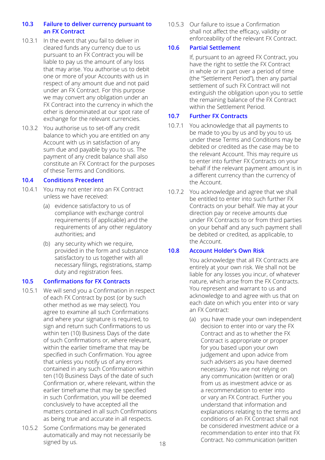#### **10.3 Failure to deliver currency pursuant to an FX Contract**

- 10.3.1 In the event that you fail to deliver in cleared funds any currency due to us pursuant to an FX Contract you will be liable to pay us the amount of any loss that may arise. You authorise us to debit one or more of your Accounts with us in respect of any amount due and not paid under an FX Contract. For this purpose we may convert any obligation under an FX Contract into the currency in which the other is denominated at our spot rate of exchange for the relevant currencies.
- 10.3.2 You authorise us to set-off any credit balance to which you are entitled on any Account with us in satisfaction of any sum due and payable by you to us. The payment of any credit balance shall also constitute an FX Contract for the purposes of these Terms and Conditions.

#### **10.4 Conditions Precedent**

- 10.4.1 You may not enter into an FX Contract unless we have received:
	- (a) evidence satisfactory to us of compliance with exchange control requirements (if applicable) and the requirements of any other regulatory authorities; and
	- (b) any security which we require, provided in the form and substance satisfactory to us together with all necessary filings, registrations, stamp duty and registration fees.

#### **10.5 Confirmations for FX Contracts**

- 10.5.1 We will send you a Confirmation in respect of each FX Contract by post (or by such other method as we may select). You agree to examine all such Confirmations and where your signature is required, to sign and return such Confirmations to us within ten (10) Business Days of the date of such Confirmations or, where relevant, within the earlier timeframe that may be specified in such Confirmation. You agree that unless you notify us of any errors contained in any such Confirmation within ten (10) Business Days of the date of such Confirmation or, where relevant, within the earlier timeframe that may be specified in such Confirmation, you will be deemed conclusively to have accepted all the matters contained in all such Confirmations as being true and accurate in all respects.
- 10.5.2 Some Confirmations may be generated automatically and may not necessarily be signed by us.

10.5.3 Our failure to issue a Confirmation shall not affect the efficacy, validity or enforceability of the relevant FX Contract.

#### **10.6 Partial Settlement**

If, pursuant to an agreed FX Contract, you have the right to settle the FX Contract in whole or in part over a period of time (the "Settlement Period"), then any partial settlement of such FX Contract will not extinguish the obligation upon you to settle the remaining balance of the FX Contract within the Settlement Period.

#### **10.7 Further FX Contracts**

- 10.7.1 You acknowledge that all payments to be made to you by us and by you to us under these Terms and Conditions may be debited or credited as the case may be to the relevant Account. This may require us to enter into further FX Contracts on your behalf if the relevant payment amount is in a different currency than the currency of the Account.
- 10.7.2 You acknowledge and agree that we shall be entitled to enter into such further FX Contracts on your behalf. We may at your direction pay or receive amounts due under FX Contracts to or from third parties on your behalf and any such payment shall be debited or credited, as applicable, to the Account.

#### **10.8 Account Holder's Own Risk**

You acknowledge that all FX Contracts are entirely at your own risk. We shall not be liable for any losses you incur, of whatever nature, which arise from the FX Contracts. You represent and warrant to us and acknowledge to and agree with us that on each date on which you enter into or vary an FX Contract:

(a) you have made your own independent decision to enter into or vary the FX Contract and as to whether the FX Contract is appropriate or proper for you based upon your own judgement and upon advice from such advisers as you have deemed necessary. You are not relying on any communication (written or oral) from us as investment advice or as a recommendation to enter into or vary an FX Contract. Further you understand that information and explanations relating to the terms and conditions of an FX Contract shall not be considered investment advice or a recommendation to enter into that FX Contract. No communication (written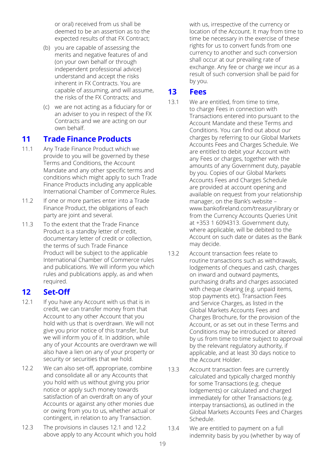or oral) received from us shall be deemed to be an assertion as to the expected results of that FX Contract;

- (b) you are capable of assessing the merits and negative features of and (on your own behalf or through independent professional advice) understand and accept the risks inherent in FX Contracts. You are capable of assuming, and will assume, the risks of the FX Contracts; and
- (c) we are not acting as a fiduciary for or an adviser to you in respect of the FX Contracts and we are acting on our own behalf.

## **11 Trade Finance Products**

- 11.1 Any Trade Finance Product which we provide to you will be governed by these Terms and Conditions, the Account Mandate and any other specific terms and conditions which might apply to such Trade Finance Products including any applicable International Chamber of Commerce Rules.
- 11.2 If one or more parties enter into a Trade Finance Product, the obligations of each party are joint and several.
- 11.3 To the extent that the Trade Finance Product is a standby letter of credit, documentary letter of credit or collection, the terms of such Trade Finance Product will be subject to the applicable International Chamber of Commerce rules and publications. We will inform you which rules and publications apply, as and when required.

## **12 Set-Off**

- 12.1 If you have any Account with us that is in credit, we can transfer money from that Account to any other Account that you hold with us that is overdrawn. We will not give you prior notice of this transfer, but we will inform you of it. In addition, while any of your Accounts are overdrawn we will also have a lien on any of your property or security or securities that we hold.
- 12.2 We can also set-off, appropriate, combine and consolidate all or any Accounts that you hold with us without giving you prior notice or apply such money towards satisfaction of an overdraft on any of your Accounts or against any other monies due or owing from you to us, whether actual or contingent, in relation to any Transaction.
- 12.3 The provisions in clauses 12.1 and 12.2 above apply to any Account which you hold

with us, irrespective of the currency or location of the Account. It may from time to time be necessary in the exercise of these rights for us to convert funds from one currency to another and such conversion shall occur at our prevailing rate of exchange. Any fee or charge we incur as a result of such conversion shall be paid for by you.

## **13 Fees**

- 13.1 We are entitled, from time to time. to charge Fees in connection with Transactions entered into pursuant to the Account Mandate and these Terms and Conditions. You can find out about our charges by referring to our Global Markets Accounts Fees and Charges Schedule. We are entitled to debit your Account with any Fees or charges, together with the amounts of any Government duty, payable by you. Copies of our Global Markets Accounts Fees and Charges Schedule are provided at account opening and available on request from your relationship manager, on the Bank's website – www.bankofireland.com/treasurylibrary or from the Currency Accounts Queries Unit at +353 1 6094313. Government duty, where applicable, will be debited to the Account on such date or dates as the Bank may decide.
- 13.2 Account transaction fees relate to routine transactions such as withdrawals, lodgements of cheques and cash, charges on inward and outward payments, purchasing drafts and charges associated with cheque clearing (e.g. unpaid items, stop payments etc). Transaction Fees and Service Charges, as listed in the Global Markets Accounts Fees and Charges Brochure, for the provision of the Account, or as set out in these Terms and Conditions may be introduced or altered by us from time to time subject to approval by the relevant regulatory authority, if applicable, and at least 30 days notice to the Account Holder.
- 13.3 Account transaction fees are currently calculated and typically charged monthly for some Transactions (e.g. cheque lodgements) or calculated and charged immediately for other Transactions (e.g. interpay transactions), as outlined in the Global Markets Accounts Fees and Charges Schedule.
- 13.4 We are entitled to payment on a full indemnity basis by you (whether by way of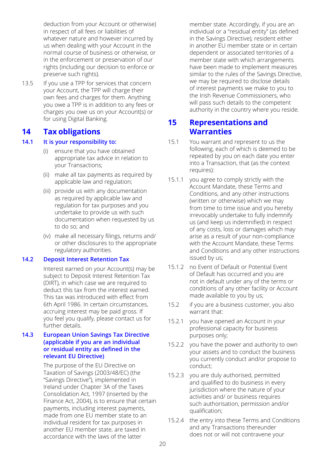deduction from your Account or otherwise) in respect of all fees or liabilities of whatever nature and however incurred by us when dealing with your Account in the normal course of business or otherwise, or in the enforcement or preservation of our rights (including our decision to enforce or preserve such rights).

13.5 If you use a TPP for services that concern your Account, the TPP will charge their own fees and charges for them. Anything you owe a TPP is in addition to any fees or charges you owe us on your Account(s) or for using Digital Banking.

## **14 Tax obligations**

#### **14.1 It is your responsibility to:**

- (i) ensure that you have obtained appropriate tax advice in relation to your Transactions;
- (ii) make all tax payments as required by applicable law and regulation;
- (iii) provide us with any documentation as required by applicable law and regulation for tax purposes and you undertake to provide us with such documentation when requested by us to do so; and
- (iv) make all necessary filings, returns and/ or other disclosures to the appropriate regulatory authorities.

#### **14.2 Deposit Interest Retention Tax**

Interest earned on your Account(s) may be subject to Deposit Interest Retention Tax (DIRT), in which case we are required to deduct this tax from the interest earned. This tax was introduced with effect from 6th April 1986. In certain circumstances, accruing interest may be paid gross. If you feel you qualify, please contact us for further details.

#### **14.3 European Union Savings Tax Directive (applicable if you are an individual or residual entity as defined in the relevant EU Directive)**

The purpose of the EU Directive on Taxation of Savings (2003/48/EC) (the "Savings Directive"), implemented in Ireland under Chapter 3A of the Taxes Consolidation Act, 1997 (inserted by the Finance Act, 2004), is to ensure that certain payments, including interest payments, made from one EU member state to an individual resident for tax purposes in another EU member state, are taxed in accordance with the laws of the latter

member state. Accordingly, if you are an individual or a "residual entity" (as defined in the Savings Directive), resident either in another EU member state or in certain dependent or associated territories of a member state with which arrangements have been made to implement measures similar to the rules of the Savings Directive, we may be required to disclose details of interest payments we make to you to the Irish Revenue Commissioners, who will pass such details to the competent authority in the country where you reside.

## **15 Representations and Warranties**

- 15.1 You warrant and represent to us the following, each of which is deemed to be repeated by you on each date you enter into a Transaction, that (as the context requires):
- 15.1.1 you agree to comply strictly with the Account Mandate, these Terms and Conditions, and any other instructions (written or otherwise) which we may from time to time issue and you hereby irrevocably undertake to fully indemnify us (and keep us indemnified) in respect of any costs, loss or damages which may arise as a result of your non-compliance with the Account Mandate, these Terms and Conditions and any other instructions issued by us;
- 15.1.2 no Event of Default or Potential Event of Default has occurred and you are not in default under any of the terms or conditions of any other facility or Account made available to you by us;
- 15.2 if you are a business customer, you also warrant that:
- 15.2.1 you have opened an Account in your professional capacity for business purposes only;
- 15.2.2 you have the power and authority to own your assets and to conduct the business you currently conduct and/or propose to conduct;
- 15.2.3 you are duly authorised, permitted and qualified to do business in every jurisdiction where the nature of your activities and/ or business requires such authorisation, permission and/or qualification;
- 15.2.4 the entry into these Terms and Conditions and any Transactions thereunder does not or will not contravene your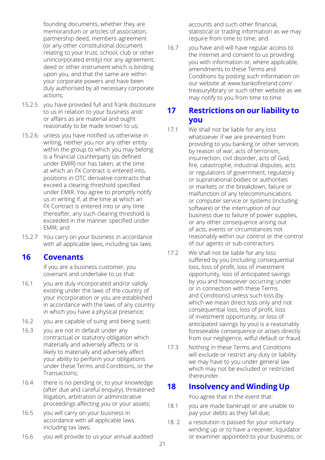founding documents, whether they are memorandum or articles of association, partnership deed, members agreement (or any other constitutional document relating to your trust, school, club or other unincorporated entity) nor any agreement, deed or other instrument which is binding upon you, and that the same are within your corporate powers and have been duly authorised by all necessary corporate actions;

- 15.2.5 you have provided full and frank disclosure to us in relation to your business and/ or affairs as are material and ought reasonably to be made known to us;
- 15.2.6 unless you have notified us otherwise in writing, neither you nor any other entity within the group to which you may belong is a financial counterparty (as defined under EMIR) nor has taken, at the time at which an FX Contract is entered into, positions in OTC derivative contracts that exceed a clearing threshold specified under EMIR. You agree to promptly notify us in writing if, at the time at which an FX Contract is entered into or any time thereafter, any such clearing threshold is exceeded in the manner specified under EMIR; and
- 15.2.7 You carry on your business in accordance with all applicable laws, including tax laws.

## **16 Covenants**

If you are a business customer, you covenant and undertake to us that:

- 16.1 you are duly incorporated and/or validly existing under the laws of the country of your incorporation or you are established in accordance with the laws of any country in which you have a physical presence;
- 16.2 you are capable of suing and being sued;
- 16.3 you are not in default under any contractual or statutory obligation which materially and adversely affects or is likely to materially and adversely affect your ability to perform your obligations under these Terms and Conditions, or the Transactions;
- 16.4 there is no pending or, to your knowledge (after due and careful enquiry), threatened litigation, arbitration or administrative proceedings affecting you or your assets;
- 16.5 you will carry on your business in accordance with all applicable laws including tax laws;
- 16.6 you will provide to us your annual audited

accounts and such other financial, statistical or trading information as we may require from time to time; and

16.7 you have and will have regular access to the internet and consent to us providing you with information or, where applicable, amendments to these Terms and Conditions by posting such information on our website at www.bankofireland.com/ treasurylibrary or such other website as we may notify to you from time to time.

## **17 Restrictions on our liability to you**

- 17.1 We shall not be liable for any loss whatsoever if we are prevented from providing to you banking or other services by reason of war, acts of terrorism, insurrection, civil disorder, acts of God, fire, catastrophe, industrial disputes, acts or regulations of government, regulatory or supranational bodies or authorities or markets or the breakdown, failure or malfunction of any telecommunications or computer service or systems (including software) or the interruption of our business due to failure of power supplies, or any other consequence arising out of acts, events or circumstances not reasonably within our control or the control of our agents or sub-contractors.
- 17.2 We shall not be liable for any loss suffered by you (including consequential loss, loss of profit, loss of investment opportunity, loss of anticipated savings by you and howsoever occurring under or in connection with these Terms and Conditions) unless such loss (by which we mean direct loss only and not consequential loss, loss of profit, loss of investment opportunity, or loss of anticipated savings by you) is a reasonably foreseeable consequence or arises directly from our negligence, wilful default or fraud.
- 17.3 Nothing in these Terms and Conditions will exclude or restrict any duty or liability we may have to you under general law which may not be excluded or restricted thereunder.

## **18 Insolvency and Winding Up**

You agree that in the event that:

- 18.1 vou are made bankrupt or are unable to pay your debts as they fall due;
- 18. 2 a resolution is passed for your voluntary winding up or to have a receiver, liquidator or examiner appointed to your business; or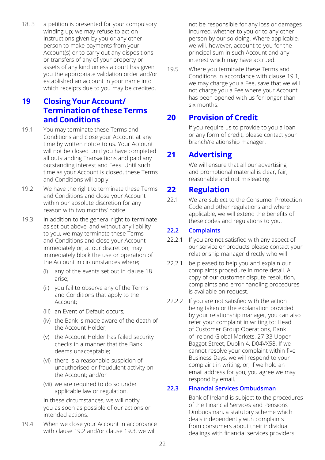18. 3 a petition is presented for your compulsory winding up; we may refuse to act on Instructions given by you or any other person to make payments from your Account(s) or to carry out any dispositions or transfers of any of your property or assets of any kind unless a court has given you the appropriate validation order and/or established an account in your name into which receipts due to you may be credited.

## **19 Closing Your Account/ Termination of these Terms and Conditions**

- 19.1 You may terminate these Terms and Conditions and close your Account at any time by written notice to us. Your Account will not be closed until you have completed all outstanding Transactions and paid any outstanding interest and Fees. Until such time as your Account is closed, these Terms and Conditions will apply.
- 19.2 We have the right to terminate these Terms and Conditions and close your Account within our absolute discretion for any reason with two months' notice.
- 19.3 In addition to the general right to terminate as set out above, and without any liability to you, we may terminate these Terms and Conditions and close your Account immediately or, at our discretion, may immediately block the use or operation of the Account in circumstances where;
	- (i) any of the events set out in clause 18 arise;
	- (ii) you fail to observe any of the Terms and Conditions that apply to the Account;
	- (iii) an Event of Default occurs;
	- (iv) the Bank is made aware of the death of the Account Holder;
	- (v) the Account Holder has failed security checks in a manner that the Bank deems unacceptable;
	- (vi) there is a reasonable suspicion of unauthorised or fraudulent activity on the Account; and/or
	- (vii) we are required to do so under applicable law or regulation.

In these circumstances, we will notify you as soon as possible of our actions or intended actions.

19.4 When we close your Account in accordance with clause 19.2 and/or clause 19.3, we will

not be responsible for any loss or damages incurred, whether to you or to any other person by our so doing. Where applicable, we will, however, account to you for the principal sum in such Account and any interest which may have accrued.

19.5 Where you terminate these Terms and Conditions in accordance with clause 19.1, we may charge you a Fee, save that we will not charge you a Fee where your Account has been opened with us for longer than six months.

## **20 Provision of Credit**

If you require us to provide to you a loan or any form of credit, please contact your branch/relationship manager.

## **21 Advertising**

We will ensure that all our advertising and promotional material is clear, fair, reasonable and not misleading.

## **22 Regulation**

22.1 We are subject to the Consumer Protection Code and other regulations and where applicable, we will extend the benefits of these codes and regulations to you.

#### **22.2 Complaints**

- 22.2.1 If you are not satisfied with any aspect of our service or products please contact your relationship manager directly who will
- 22.2.1 be pleased to help you and explain our complaints procedure in more detail. A copy of our customer dispute resolution, complaints and error handling procedures is available on request.
- 22.2.2 If you are not satisfied with the action being taken or the explanation provided by your relationship manager, you can also refer your complaint in writing to: Head of Customer Group Operations, Bank of Ireland Global Markets, 27-33 Upper Baggot Street, Dublin 4, D04VX58. If we cannot resolve your complaint within five Business Days, we will respond to your complaint in writing, or, if we hold an email address for you, you agree we may respond by email.

#### **22.3 Financial Services Ombudsman**

Bank of Ireland is subject to the procedures of the Financial Services and Pensions Ombudsman, a statutory scheme which deals independently with complaints from consumers about their individual dealings with financial services providers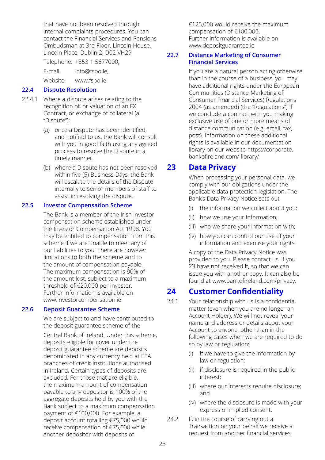that have not been resolved through internal complaints procedures. You can contact the Financial Services and Pensions Ombudsman at 3rd Floor, Lincoln House, Lincoln Place, Dublin 2, D02 VH29

Telephone: +353 1 5677000,

E-mail: info@fspo.ie,

Website: www.fspo.ie

#### **22.4 Dispute Resolution**

- 22.4.1 Where a dispute arises relating to the recognition of, or valuation of an FX Contract, or exchange of collateral (a "Dispute");
	- (a) once a Dispute has been identified, and notified to us, the Bank will consult with you in good faith using any agreed process to resolve the Dispute in a timely manner.
	- (b) where a Dispute has not been resolved within five (5) Business Days, the Bank will escalate the details of the Dispute internally to senior members of staff to assist in resolving the dispute.

#### **22.5 Investor Compensation Scheme**

The Bank is a member of the Irish investor compensation scheme established under the Investor Compensation Act 1998. You may be entitled to compensation from this scheme if we are unable to meet any of our liabilities to you. There are however limitations to both the scheme and to the amount of compensation payable. The maximum compensation is 90% of the amount lost, subject to a maximum threshold of €20,000 per investor. Further information is available on www.investorcompensation.ie.

#### **22.6 Deposit Guarantee Scheme**

We are subject to and have contributed to the deposit guarantee scheme of the

Central Bank of Ireland. Under this scheme, deposits eligible for cover under the deposit guarantee scheme are deposits denominated in any currency held at EEA branches of credit institutions authorised in Ireland. Certain types of deposits are excluded. For those that are eligible, the maximum amount of compensation payable to any depositor is 100% of the aggregate deposits held by you with the Bank subject to a maximum compensation payment of €100,000. For example, a deposit account totalling €75,000 would receive compensation of €75,000 while another depositor with deposits of

€125,000 would receive the maximum compensation of €100,000. Further information is available on www.depositguarantee.ie

#### **22.7 Distance Marketing of Consumer Financial Services**

If you are a natural person acting otherwise than in the course of a business, you may have additional rights under the European Communities (Distance Marketing of Consumer Financial Services) Regulations 2004 (as amended) (the "Regulations") if we conclude a contract with you making exclusive use of one or more means of distance communication (e.g. email, fax, post). Information on these additional rights is available in our documentation [library on our website https://corporate.](https://corporate.bankofireland.com/library/) bankofireland.com/ library/

## **23 Data Privacy**

When processing your personal data, we comply with our obligations under the applicable data protection legislation. The Bank's Data Privacy Notice sets out

- (i) the information we collect about you;
- (ii) how we use your information;
- (iii) who we share your information with;
- (iv) how you can control our use of your information and exercise your rights.

A copy of the Data Privacy Notice was provided to you. Please contact us, if you 23 have not received it, so that we can issue you with another copy. It can also be found at www.bankofireland.com/privacy.

## **24 Customer Confidentiality**

- 24.1 Your relationship with us is a confidential matter (even when you are no longer an Account Holder). We will not reveal your name and address or details about your Account to anyone, other than in the following cases when we are required to do so by law or regulation:
	- (i) if we have to give the information by law or regulation;
	- (ii) if disclosure is required in the public interest;
	- (iii) where our interests require disclosure; and
	- (iv) where the disclosure is made with your express or implied consent.
- 24.2 If, in the course of carrying out a Transaction on your behalf we receive a request from another financial services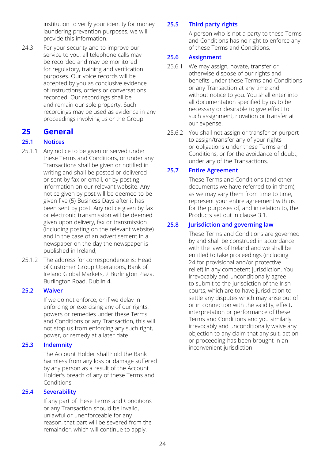institution to verify your identity for money laundering prevention purposes, we will provide this information.

24.3 For your security and to improve our service to you, all telephone calls may be recorded and may be monitored for regulatory, training and verification purposes. Our voice records will be accepted by you as conclusive evidence of Instructions, orders or conversations recorded. Our recordings shall be and remain our sole property. Such recordings may be used as evidence in any proceedings involving us or the Group.

## **25 General**

#### **25.1 Notices**

- 25.1.1 Any notice to be given or served under these Terms and Conditions, or under any Transactions shall be given or notified in writing and shall be posted or delivered or sent by fax or email, or by posting information on our relevant website. Any notice given by post will be deemed to be given five (5) Business Days after it has been sent by post. Any notice given by fax or electronic transmission will be deemed given upon delivery, fax or transmission (including posting on the relevant website) and in the case of an advertisement in a newspaper on the day the newspaper is published in Ireland;
- 25.1.2 The address for correspondence is: Head of Customer Group Operations, Bank of Ireland Global Markets, 2 Burlington Plaza, Burlington Road, Dublin 4.

#### **25.2 Waiver**

If we do not enforce, or if we delay in enforcing or exercising any of our rights, powers or remedies under these Terms and Conditions or any Transaction, this will not stop us from enforcing any such right, power, or remedy at a later date.

#### **25.3 Indemnity**

The Account Holder shall hold the Bank harmless from any loss or damage suffered by any person as a result of the Account Holder's breach of any of these Terms and Conditions.

#### **25.4 Severability**

If any part of these Terms and Conditions or any Transaction should be invalid, unlawful or unenforceable for any reason, that part will be severed from the remainder, which will continue to apply.

#### **25.5 Third party rights**

A person who is not a party to these Terms and Conditions has no right to enforce any of these Terms and Conditions.

#### **25.6 Assignment**

- 25.6.1 We may assign, novate, transfer or otherwise dispose of our rights and benefits under these Terms and Conditions or any Transaction at any time and without notice to you. You shall enter into all documentation specified by us to be necessary or desirable to give effect to such assignment, novation or transfer at our expense.
- 25.6.2 You shall not assign or transfer or purport to assign/transfer any of your rights or obligations under these Terms and Conditions, or for the avoidance of doubt, under any of the Transactions.

#### **25.7 Entire Agreement**

These Terms and Conditions (and other documents we have referred to in them), as we may vary them from time to time, represent your entire agreement with us for the purposes of, and in relation to, the Products set out in clause 3.1.

#### **25.8 Jurisdiction and governing law**

These Terms and Conditions are governed by and shall be construed in accordance with the laws of Ireland and we shall be entitled to take proceedings (including 24 for provisional and/or protective relief) in any competent jurisdiction. You irrevocably and unconditionally agree to submit to the jurisdiction of the Irish courts, which are to have jurisdiction to settle any disputes which may arise out of or in connection with the validity, effect, interpretation or performance of these Terms and Conditions and you similarly irrevocably and unconditionally waive any objection to any claim that any suit, action or proceeding has been brought in an inconvenient jurisdiction.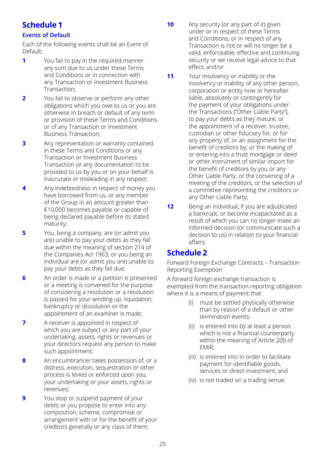## **Schedule 1**

#### **Events of Default**

Each of the following events shall be an Event of Default:

- **1** You fail to pay in the required manner any sum due to us under these Terms and Conditions or in connection with any Transaction or Investment Business Transaction;
- **2** You fail to observe or perform any other obligations which you owe to us or you are otherwise in breach or default of any term or provision of these Terms and Conditions or of any Transaction or Investment Business Transaction;
- **3** Any representation or warranty contained in these Terms and Conditions or any Transaction or Investment Business Transaction or any documentation to be provided to us by you or on your behalf is inaccurate or misleading in any respect;
- **4** Any indebtedness in respect of money you have borrowed from us, or any member of the Group in an amount greater than €10,000 becomes payable or capable of being declared payable before its stated maturity;
- **5** You, being a company, are (or admit you are) unable to pay your debts as they fall due within the meaning of section 214 of the Companies Act 1963, or you being an individual are (or admit you are) unable to pay your debts as they fall due;
- **6** An order is made or a petition is presented or a meeting is convened for the purpose of considering a resolution or a resolution is passed for your winding-up, liquidation, bankruptcy or dissolution or the appointment of an examiner is made;
- **7** A receiver is appointed in respect of which you are subject or any part of your undertaking, assets, rights or revenues or your directors request any person to make such appointment;
- **8** An encumbrancer takes possession of, or a distress, execution, sequestration or other process is levied or enforced upon you, your undertaking or your assets, rights or revenues;
- **9** You stop or suspend payment of your debts or you propose to enter into any composition, scheme, compromise or arrangement with or for the benefit of your creditors generally or any class of them;
- **10** Any security (or any part of it) given under or in respect of these Terms and Conditions, or in respect of any Transaction is not or will no longer be a valid, enforceable, effective and continuing security or we receive legal advice to that effect; and/or
- **11** Your insolvency or inability or the insolvency or inability of any other person, corporation or entity now or hereafter liable, absolutely or contingently for the payment of your obligations under the Transactions ("Other Liable Party"), to pay your debts as they mature, or the appointment of a receiver, trustee, custodian or other fiduciary for, or for any property of, or an assignment for the benefit of creditors by, or the making of or entering into a trust mortgage or deed or other instrument of similar import for the benefit of creditors by you or any Other Liable Party, or the convening of a meeting of the creditors, or the selection of a committee representing the creditors or any Other Liable Party;
- **12** Being an individual, if you are adjudicated a bankrupt, or become incapacitated as a result of which you can no longer make an informed decision (or communicate such a decision to us) in relation to your financial affairs.

## **Schedule 2**

Forward Foreign Exchange Contracts – Transaction Reporting Exemption

A forward foreign exchange transaction is exempted from the transaction reporting obligation where it is a means of payment that:

- (i) must be settled physically otherwise than by reason of a default or other termination events;
- (ii) is entered into by at least a person which is not a financial counterparty within the meaning of Article 2(8) of EMIR;
- (iii) is entered into in order to facilitate payment for identifiable goods, services or direct investment; and
- (iv) is not traded on a trading venue.